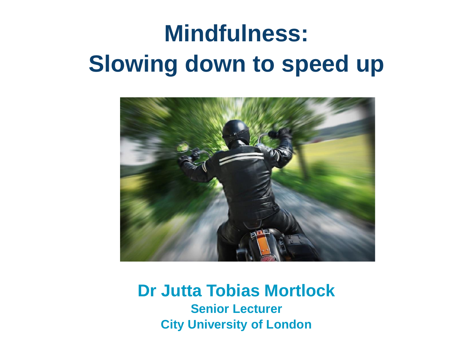# **Mindfulness: Slowing down to speed up**



#### **Dr Jutta Tobias Mortlock Senior Lecturer City University of London**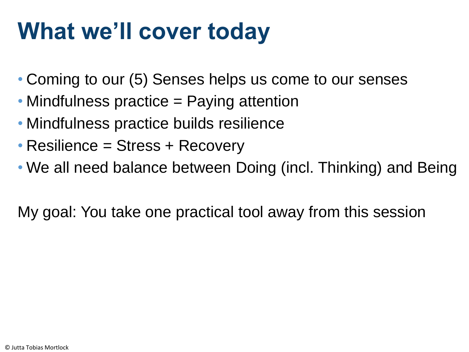# **What we'll cover today**

- Coming to our (5) Senses helps us come to our senses
- Mindfulness practice = Paying attention
- Mindfulness practice builds resilience
- Resilience = Stress + Recovery
- We all need balance between Doing (incl. Thinking) and Being

My goal: You take one practical tool away from this session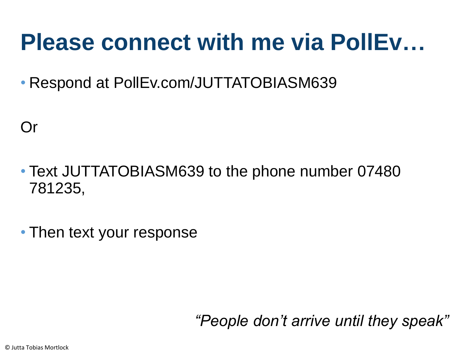# **Please connect with me via PollEv…**

• Respond at PollEv.com/JUTTATOBIASM639

Or

- Text JUTTATOBIASM639 to the phone number 07480 781235,
- Then text your response

*"People don't arrive until they speak"*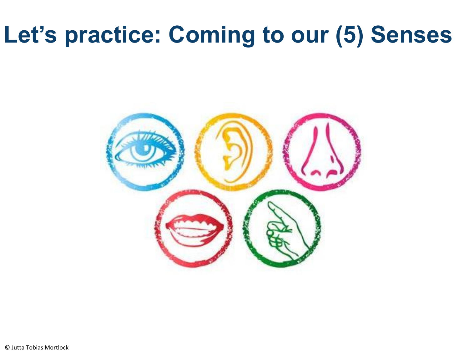# **Let's practice: Coming to our (5) Senses**

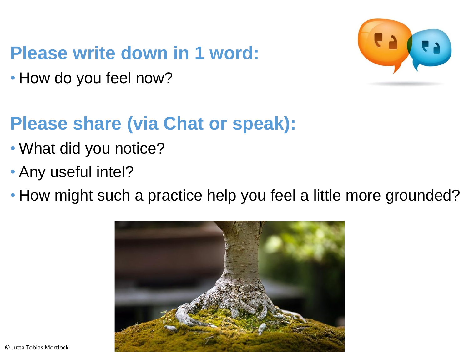#### **Please write down in 1 word:**

• How do you feel now?



#### **Please share (via Chat or speak):**

- What did you notice?
- Any useful intel?
- How might such a practice help you feel a little more grounded?

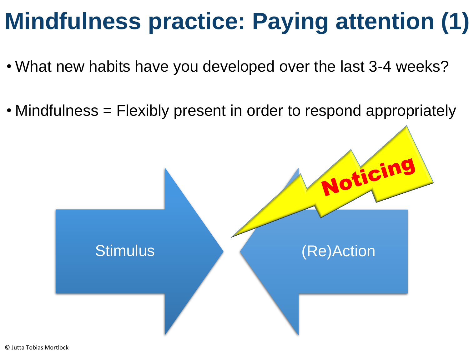# **Mindfulness practice: Paying attention (1)**

- What new habits have you developed over the last 3-4 weeks?
- Mindfulness = Flexibly present in order to respond appropriately

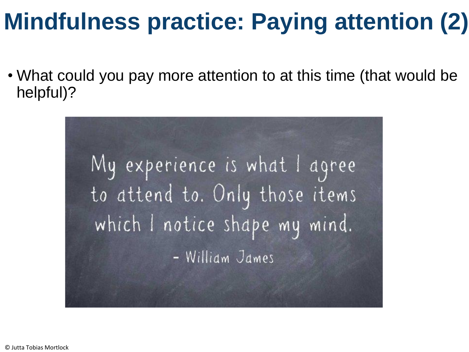# **Mindfulness practice: Paying attention (2)**

• What could you pay more attention to at this time (that would be helpful)?

My experience is what I agree to attend to. Only those items which I notice shape my mind. - William James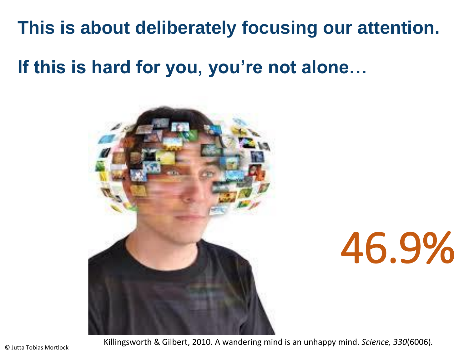#### **This is about deliberately focusing our attention.**

**If this is hard for you, you're not alone…** 



# 46.9%

Killingsworth & Gilbert, 2010. A wandering mind is an unhappy mind. *Science, 330*(6006)*.*

© Jutta Tobias Mortlock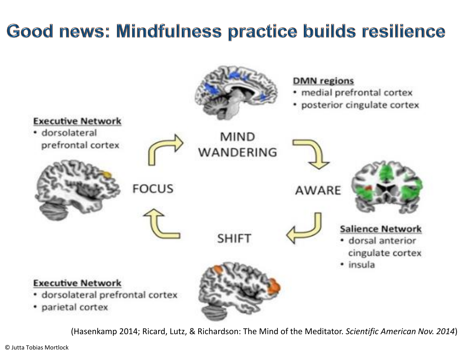### Good news: Mindfulness practice builds resilience



(Hasenkamp 2014; Ricard, Lutz, & Richardson: The Mind of the Meditator. *Scientific American Nov. 2014*)

© Jutta Tobias Mortlock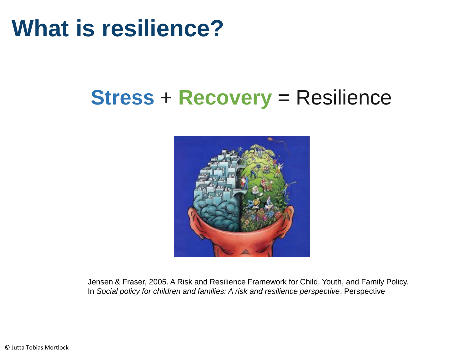## **What is resilience?**

### **Stress** + **Recovery** = Resilience



Jensen & Fraser, 2005. A Risk and Resilience Framework for Child, Youth, and Family Policy. In *Social policy for children and families: A risk and resilience perspective*. Perspective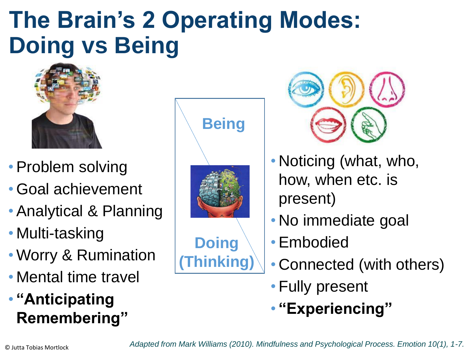# **The Brain's 2 Operating Modes: Doing vs Being**



- Problem solving
- Goal achievement
- Analytical & Planning
- Multi-tasking
- Worry & Rumination
- Mental time travel
- **"Anticipating Remembering"**



**(Thinking)**



- Noticing (what, who, how, when etc. is present)
- No immediate goal
- Embodied
- Connected (with others)
- Fully present
- **"Experiencing"**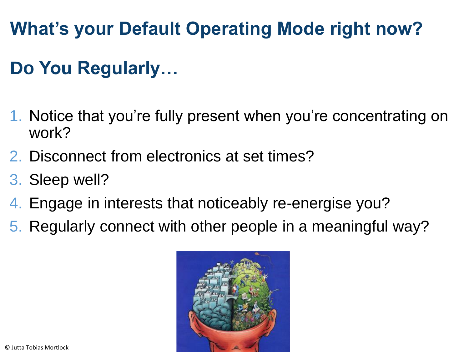**What's your Default Operating Mode right now?** 

### **Do You Regularly…**

- 1. Notice that you're fully present when you're concentrating on work?
- 2. Disconnect from electronics at set times?
- 3. Sleep well?
- 4. Engage in interests that noticeably re-energise you?
- 5. Regularly connect with other people in a meaningful way?

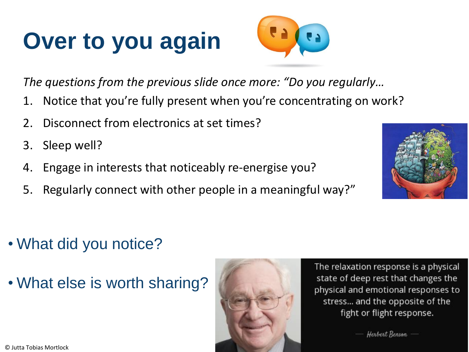# **Over to you again**



*The questions from the previous slide once more: "Do you regularly…*

- 1. Notice that you're fully present when you're concentrating on work?
- 2. Disconnect from electronics at set times?
- 3. Sleep well?
- 4. Engage in interests that noticeably re-energise you?
- 5. Regularly connect with other people in a meaningful way?"



- What did you notice?
- What else is worth sharing?



The relaxation response is a physical state of deep rest that changes the physical and emotional responses to stress... and the opposite of the fight or flight response.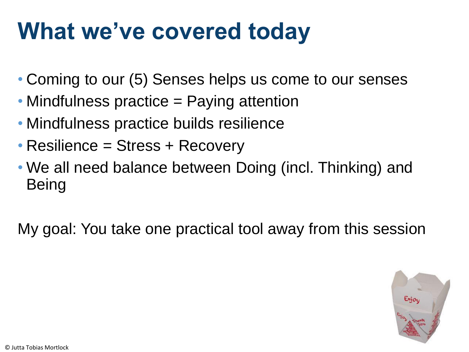# **What we've covered today**

- Coming to our (5) Senses helps us come to our senses
- Mindfulness practice = Paying attention
- Mindfulness practice builds resilience
- Resilience = Stress + Recovery
- We all need balance between Doing (incl. Thinking) and **Being**

My goal: You take one practical tool away from this session

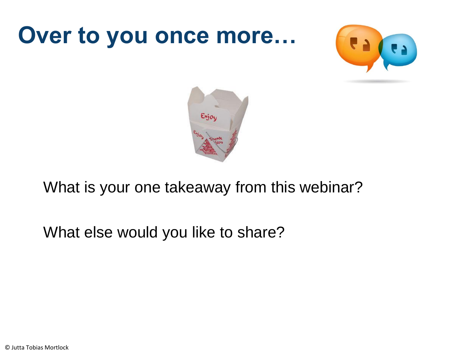# **Over to you once more…**





What is your one takeaway from this webinar?

What else would you like to share?

© Jutta Tobias Mortlock